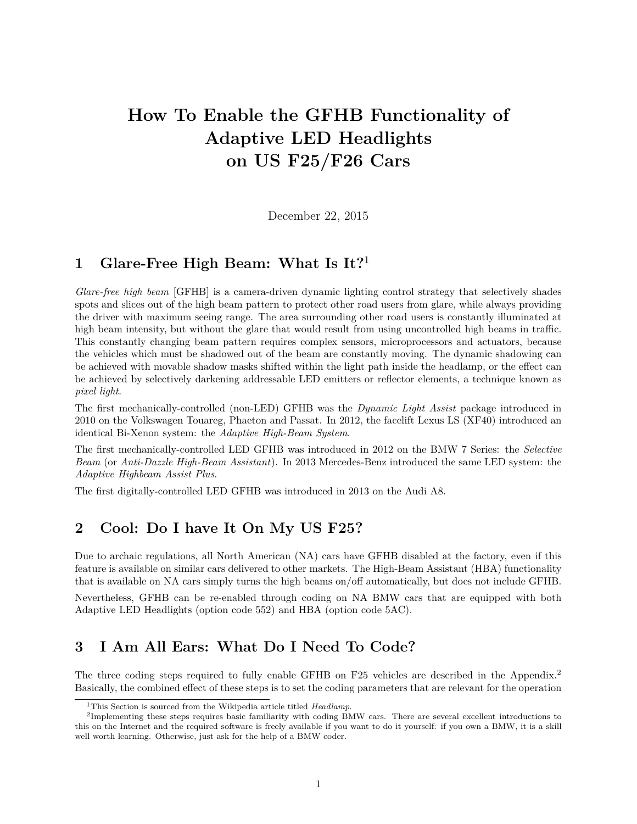# **How To Enable the GFHB Functionality of Adaptive LED Headlights on US F25/F26 Cars**

December 22, 2015

# **1 Glare-Free High Beam: What Is It?**<sup>1</sup>

*Glare-free high beam* [GFHB] is a camera-driven dynamic lighting control strategy that selectively shades spots and slices out of the high beam pattern to protect other road users from glare, while always providing the driver with maximum seeing range. The area surrounding other road users is constantly illuminated at high beam intensity, but without the glare that would result from using uncontrolled high beams in traffic. This constantly changing beam pattern requires complex sensors, microprocessors and actuators, because the vehicles which must be shadowed out of the beam are constantly moving. The dynamic shadowing can be achieved with movable shadow masks shifted within the light path inside the headlamp, or the effect can be achieved by selectively darkening addressable LED emitters or reflector elements, a technique known as *pixel light*.

The first mechanically-controlled (non-LED) GFHB was the *Dynamic Light Assist* package introduced in 2010 on the Volkswagen Touareg, Phaeton and Passat. In 2012, the facelift Lexus LS (XF40) introduced an identical Bi-Xenon system: the *Adaptive High-Beam System*.

The first mechanically-controlled LED GFHB was introduced in 2012 on the BMW 7 Series: the *Selective Beam* (or *Anti-Dazzle High-Beam Assistant*). In 2013 Mercedes-Benz introduced the same LED system: the *Adaptive Highbeam Assist Plus*.

The first digitally-controlled LED GFHB was introduced in 2013 on the Audi A8.

# **2 Cool: Do I have It On My US F25?**

Due to archaic regulations, all North American (NA) cars have GFHB disabled at the factory, even if this feature is available on similar cars delivered to other markets. The High-Beam Assistant (HBA) functionality that is available on NA cars simply turns the high beams on/off automatically, but does not include GFHB. Nevertheless, GFHB can be re-enabled through coding on NA BMW cars that are equipped with both Adaptive LED Headlights (option code 552) and HBA (option code 5AC).

# **3 I Am All Ears: What Do I Need To Code?**

The three coding steps required to fully enable GFHB on F25 vehicles are described in the Appendix.<sup>2</sup> Basically, the combined effect of these steps is to set the coding parameters that are relevant for the operation

<sup>1</sup>This Section is sourced from the Wikipedia article titled *Headlamp*.

<sup>&</sup>lt;sup>2</sup>Implementing these steps requires basic familiarity with coding BMW cars. There are several excellent introductions to this on the Internet and the required software is freely available if you want to do it yourself: if you own a BMW, it is a skill well worth learning. Otherwise, just ask for the help of a BMW coder.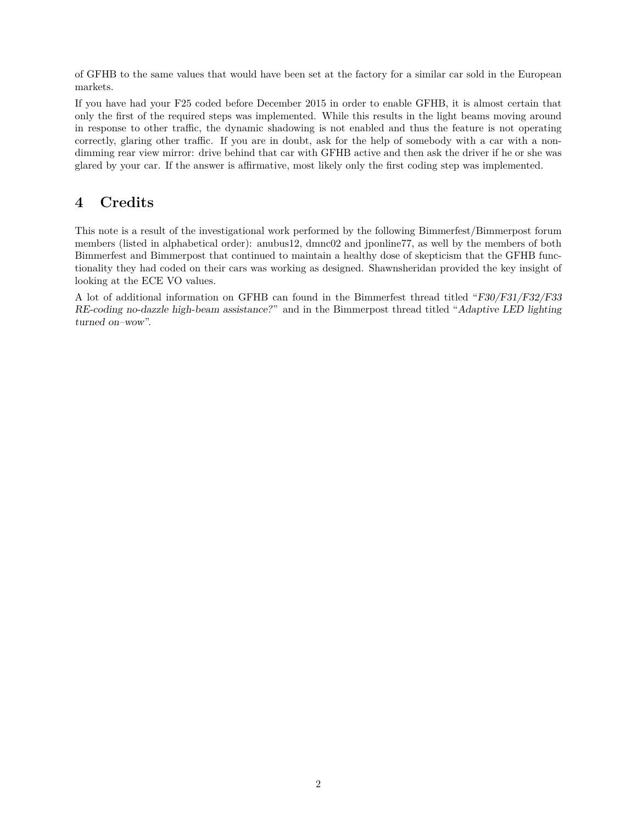of GFHB to the same values that would have been set at the factory for a similar car sold in the European markets.

If you have had your F25 coded before December 2015 in order to enable GFHB, it is almost certain that only the first of the required steps was implemented. While this results in the light beams moving around in response to other traffic, the dynamic shadowing is not enabled and thus the feature is not operating correctly, glaring other traffic. If you are in doubt, ask for the help of somebody with a car with a nondimming rear view mirror: drive behind that car with GFHB active and then ask the driver if he or she was glared by your car. If the answer is affirmative, most likely only the first coding step was implemented.

# **4 Credits**

This note is a result of the investigational work performed by the following Bimmerfest/Bimmerpost forum members (listed in alphabetical order): anubus12, dmnc02 and jponline77, as well by the members of both Bimmerfest and Bimmerpost that continued to maintain a healthy dose of skepticism that the GFHB functionality they had coded on their cars was working as designed. Shawnsheridan provided the key insight of looking at the ECE VO values.

A lot of additional information on GFHB can found in the Bimmerfest thread titled "F30/F31/F32/F33 RE-coding no-dazzle high-beam assistance?" and in the Bimmerpost thread titled "Adaptive LED lighting turned on–wow".